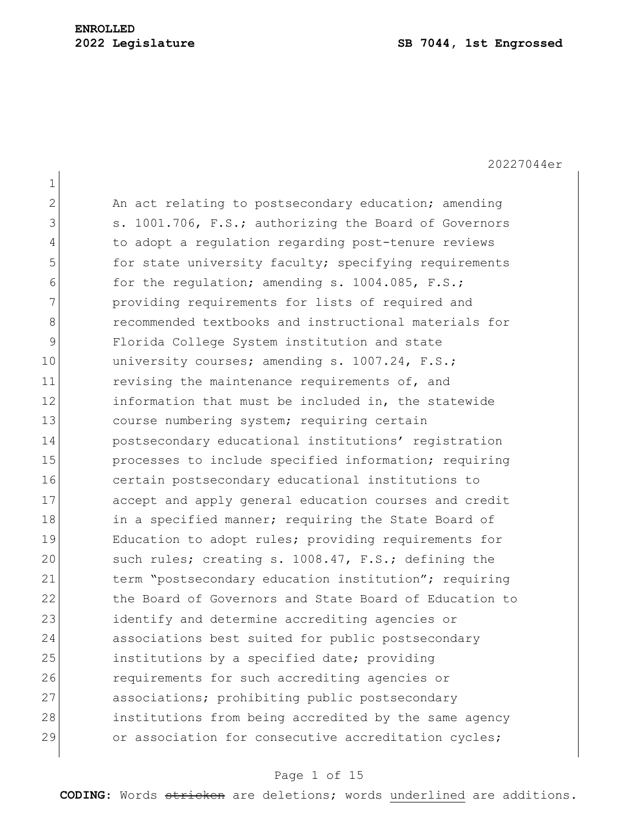|              | 20227044er                                             |
|--------------|--------------------------------------------------------|
| $\mathbf 1$  |                                                        |
| $\mathbf{2}$ | An act relating to postsecondary education; amending   |
| 3            | s. 1001.706, F.S.; authorizing the Board of Governors  |
| 4            | to adopt a regulation regarding post-tenure reviews    |
| 5            | for state university faculty; specifying requirements  |
| 6            | for the regulation; amending s. 1004.085, F.S.;        |
| 7            | providing requirements for lists of required and       |
| 8            | recommended textbooks and instructional materials for  |
| 9            | Florida College System institution and state           |
| 10           | university courses; amending s. 1007.24, F.S.;         |
| 11           | revising the maintenance requirements of, and          |
| 12           | information that must be included in, the statewide    |
| 13           | course numbering system; requiring certain             |
| 14           | postsecondary educational institutions' registration   |
| 15           | processes to include specified information; requiring  |
| 16           | certain postsecondary educational institutions to      |
| 17           | accept and apply general education courses and credit  |
| 18           | in a specified manner; requiring the State Board of    |
| 19           | Education to adopt rules; providing requirements for   |
| 20           | such rules; creating s. 1008.47, F.S.; defining the    |
| 21           | term "postsecondary education institution"; requiring  |
| 22           | the Board of Governors and State Board of Education to |
| 23           | identify and determine accrediting agencies or         |
| 24           | associations best suited for public postsecondary      |
| 25           | institutions by a specified date; providing            |
| 26           | requirements for such accrediting agencies or          |
| 27           | associations; prohibiting public postsecondary         |
| 28           | institutions from being accredited by the same agency  |
| 29           | or association for consecutive accreditation cycles;   |
|              |                                                        |

# Page 1 of 15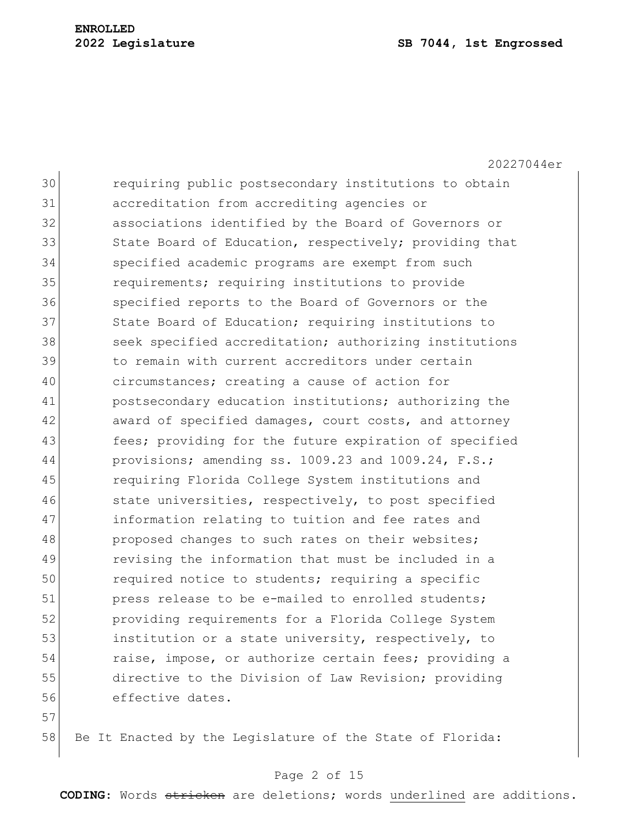20227044er 30 requiring public postsecondary institutions to obtain 31 accreditation from accrediting agencies or 32 associations identified by the Board of Governors or 33 State Board of Education, respectively; providing that 34 specified academic programs are exempt from such 35 **requirements;** requiring institutions to provide 36 Specified reports to the Board of Governors or the 37 State Board of Education; requiring institutions to 38 seek specified accreditation; authorizing institutions 39 to remain with current accreditors under certain 40 circumstances; creating a cause of action for 41 **postsecondary education institutions;** authorizing the 42 award of specified damages, court costs, and attorney 43 **fees;** providing for the future expiration of specified 44 provisions; amending ss. 1009.23 and 1009.24, F.S.; 45 requiring Florida College System institutions and 46 state universities, respectively, to post specified 47 **information relating to tuition and fee rates and** 48 proposed changes to such rates on their websites; 49 revising the information that must be included in a 50 required notice to students; requiring a specific 51 press release to be e-mailed to enrolled students; 52 providing requirements for a Florida College System 53 institution or a state university, respectively, to 54 raise, impose, or authorize certain fees; providing a 55 directive to the Division of Law Revision; providing 56 effective dates.

57

58 Be It Enacted by the Legislature of the State of Florida:

## Page 2 of 15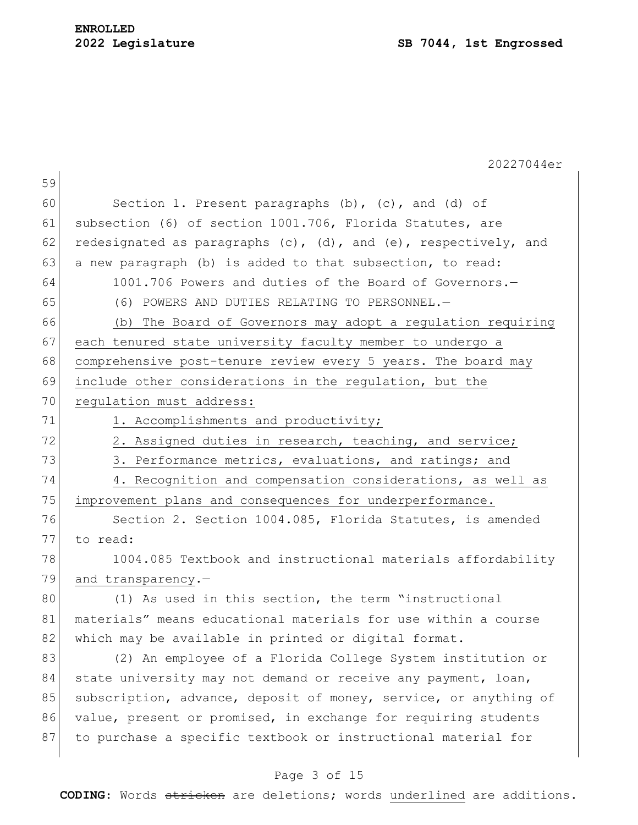|    | 20227044er                                                               |
|----|--------------------------------------------------------------------------|
| 59 |                                                                          |
| 60 | Section 1. Present paragraphs $(b)$ , $(c)$ , and $(d)$ of               |
| 61 | subsection (6) of section 1001.706, Florida Statutes, are                |
| 62 | redesignated as paragraphs $(c)$ , $(d)$ , and $(e)$ , respectively, and |
| 63 | a new paragraph (b) is added to that subsection, to read:                |
| 64 | 1001.706 Powers and duties of the Board of Governors.-                   |
| 65 | (6) POWERS AND DUTIES RELATING TO PERSONNEL.-                            |
| 66 | (b) The Board of Governors may adopt a regulation requiring              |
| 67 | each tenured state university faculty member to undergo a                |
| 68 | comprehensive post-tenure review every 5 years. The board may            |
| 69 | include other considerations in the regulation, but the                  |
| 70 | regulation must address:                                                 |
| 71 | 1. Accomplishments and productivity;                                     |
| 72 | 2. Assigned duties in research, teaching, and service;                   |
| 73 | 3. Performance metrics, evaluations, and ratings; and                    |
| 74 | 4. Recognition and compensation considerations, as well as               |
| 75 | improvement plans and consequences for underperformance.                 |
| 76 | Section 2. Section 1004.085, Florida Statutes, is amended                |
| 77 | to read:                                                                 |
| 78 | 1004.085 Textbook and instructional materials affordability              |
| 79 | and transparency.-                                                       |
| 80 | (1) As used in this section, the term "instructional                     |
| 81 | materials" means educational materials for use within a course           |
| 82 | which may be available in printed or digital format.                     |
| 83 | (2) An employee of a Florida College System institution or               |
| 84 | state university may not demand or receive any payment, loan,            |
| 85 | subscription, advance, deposit of money, service, or anything of         |
| 86 | value, present or promised, in exchange for requiring students           |
| 87 | to purchase a specific textbook or instructional material for            |
|    |                                                                          |

# Page 3 of 15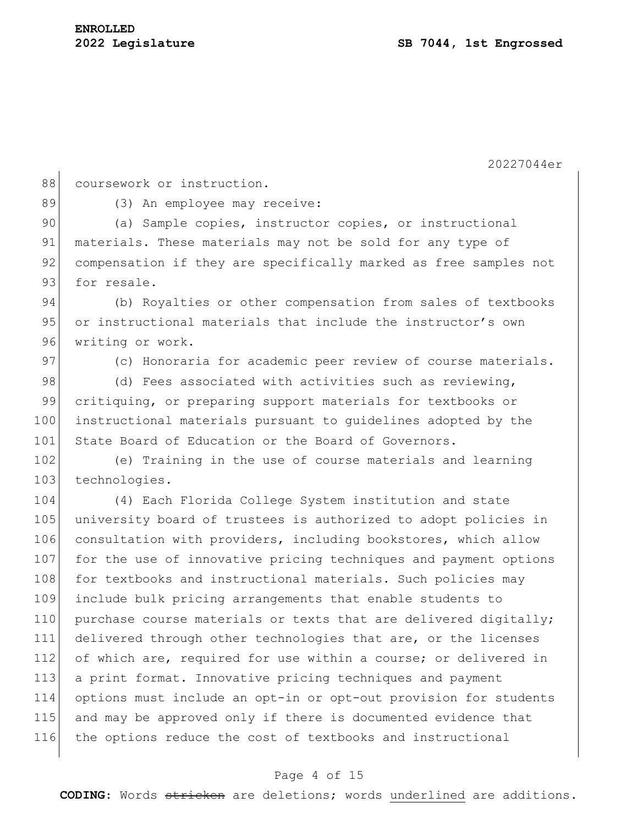88 coursework or instruction.

89 (3) An employee may receive:

90 (a) Sample copies, instructor copies, or instructional 91 materials. These materials may not be sold for any type of 92 compensation if they are specifically marked as free samples not 93 for resale.

94 (b) Royalties or other compensation from sales of textbooks 95 or instructional materials that include the instructor's own 96 writing or work.

97 (c) Honoraria for academic peer review of course materials.

98 (d) Fees associated with activities such as reviewing, 99 critiquing, or preparing support materials for textbooks or 100 instructional materials pursuant to guidelines adopted by the 101 State Board of Education or the Board of Governors.

102 (e) Training in the use of course materials and learning 103 technologies.

 (4) Each Florida College System institution and state university board of trustees is authorized to adopt policies in 106 consultation with providers, including bookstores, which allow 107 for the use of innovative pricing techniques and payment options 108 for textbooks and instructional materials. Such policies may include bulk pricing arrangements that enable students to 110 purchase course materials or texts that are delivered digitally; delivered through other technologies that are, or the licenses 112 of which are, required for use within a course; or delivered in a print format. Innovative pricing techniques and payment options must include an opt-in or opt-out provision for students and may be approved only if there is documented evidence that the options reduce the cost of textbooks and instructional

### Page 4 of 15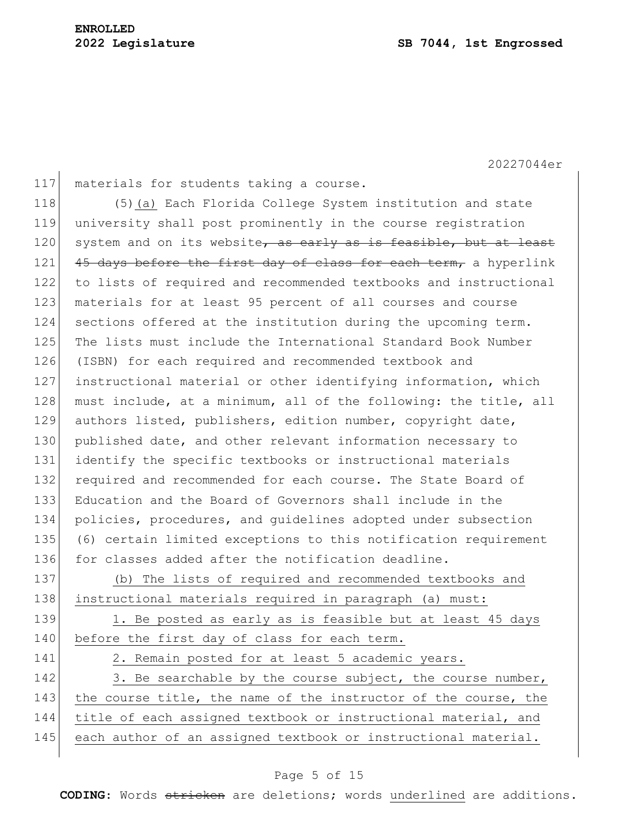117 materials for students taking a course. 118 (5)(a) Each Florida College System institution and state 119 university shall post prominently in the course registration 120 system and on its website, as early as is feasible, but at least 121 45 days before the first day of class for each term, a hyperlink 122 to lists of required and recommended textbooks and instructional 123 materials for at least 95 percent of all courses and course 124 sections offered at the institution during the upcoming term. 125 The lists must include the International Standard Book Number 126 (ISBN) for each required and recommended textbook and 127 instructional material or other identifying information, which 128 must include, at a minimum, all of the following: the title, all 129 authors listed, publishers, edition number, copyright date, 130 published date, and other relevant information necessary to 131 identify the specific textbooks or instructional materials 132 required and recommended for each course. The State Board of 133 Education and the Board of Governors shall include in the 134 policies, procedures, and guidelines adopted under subsection 135 (6) certain limited exceptions to this notification requirement 136 for classes added after the notification deadline. 137 (b) The lists of required and recommended textbooks and 138 instructional materials required in paragraph (a) must: 139 1. Be posted as early as is feasible but at least 45 days 140 before the first day of class for each term. 141 2. Remain posted for at least 5 academic years. 142 3. Be searchable by the course subject, the course number, 143 the course title, the name of the instructor of the course, the 144 title of each assigned textbook or instructional material, and 145 each author of an assigned textbook or instructional material.

## Page 5 of 15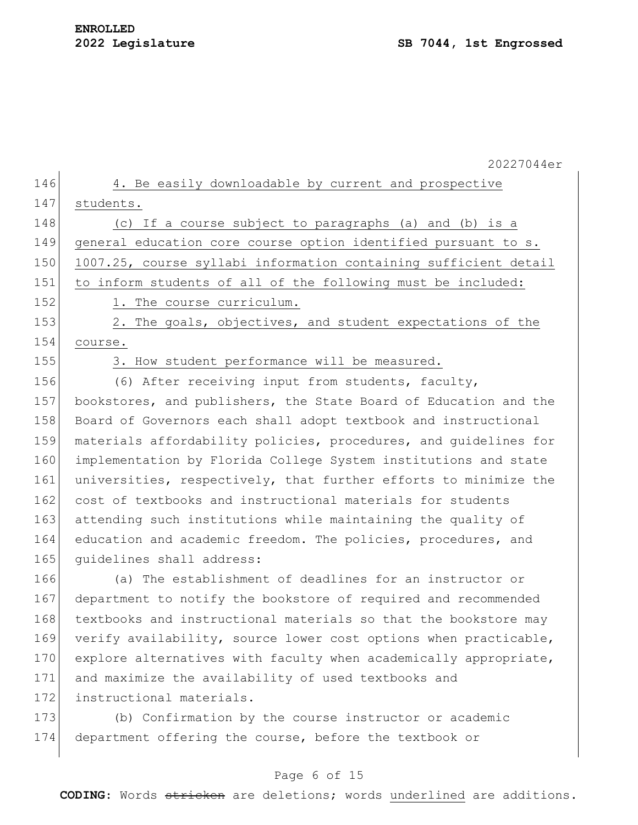|     | 20227044er                                                       |
|-----|------------------------------------------------------------------|
| 146 | 4. Be easily downloadable by current and prospective             |
| 147 | students.                                                        |
| 148 | (c) If a course subject to paragraphs (a) and (b) is a           |
| 149 | general education core course option identified pursuant to s.   |
| 150 | 1007.25, course syllabi information containing sufficient detail |
| 151 | to inform students of all of the following must be included:     |
| 152 | 1. The course curriculum.                                        |
| 153 | 2. The goals, objectives, and student expectations of the        |
| 154 | course.                                                          |
| 155 | 3. How student performance will be measured.                     |
| 156 | (6) After receiving input from students, faculty,                |
| 157 | bookstores, and publishers, the State Board of Education and the |
| 158 | Board of Governors each shall adopt textbook and instructional   |
| 159 | materials affordability policies, procedures, and quidelines for |
| 160 | implementation by Florida College System institutions and state  |
| 161 | universities, respectively, that further efforts to minimize the |
| 162 | cost of textbooks and instructional materials for students       |
| 163 | attending such institutions while maintaining the quality of     |
| 164 | education and academic freedom. The policies, procedures, and    |
| 165 | quidelines shall address:                                        |
| 166 | (a) The establishment of deadlines for an instructor or          |
| 167 | department to notify the bookstore of required and recommended   |
| 168 | textbooks and instructional materials so that the bookstore may  |
| 169 | verify availability, source lower cost options when practicable, |
| 170 | explore alternatives with faculty when academically appropriate, |
| 171 | and maximize the availability of used textbooks and              |
| 172 | instructional materials.                                         |
| 173 | (b) Confirmation by the course instructor or academic            |
| 174 | department offering the course, before the textbook or           |
|     |                                                                  |

# Page 6 of 15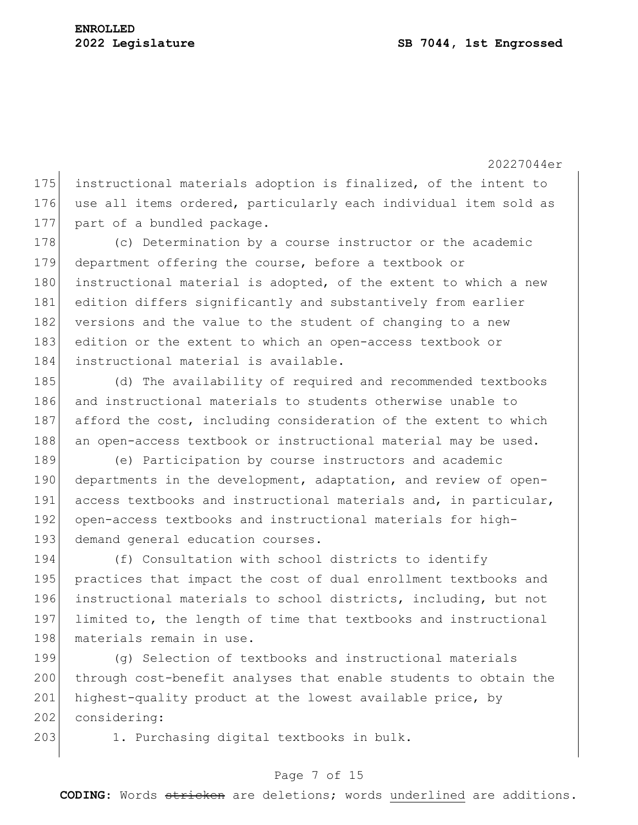175 instructional materials adoption is finalized, of the intent to 176 use all items ordered, particularly each individual item sold as 177 part of a bundled package.

178 (c) Determination by a course instructor or the academic 179 department offering the course, before a textbook or 180 instructional material is adopted, of the extent to which a new 181 edition differs significantly and substantively from earlier 182 versions and the value to the student of changing to a new 183 edition or the extent to which an open-access textbook or 184 instructional material is available.

185 (d) The availability of required and recommended textbooks 186 and instructional materials to students otherwise unable to 187 afford the cost, including consideration of the extent to which 188 an open-access textbook or instructional material may be used.

189 (e) Participation by course instructors and academic 190 departments in the development, adaptation, and review of open-191 access textbooks and instructional materials and, in particular, 192 open-access textbooks and instructional materials for high-193 demand general education courses.

194 (f) Consultation with school districts to identify 195 practices that impact the cost of dual enrollment textbooks and 196 instructional materials to school districts, including, but not 197 limited to, the length of time that textbooks and instructional 198 materials remain in use.

199 (g) Selection of textbooks and instructional materials 200 through cost-benefit analyses that enable students to obtain the 201 highest-quality product at the lowest available price, by 202 considering:

203 1. Purchasing digital textbooks in bulk.

#### Page 7 of 15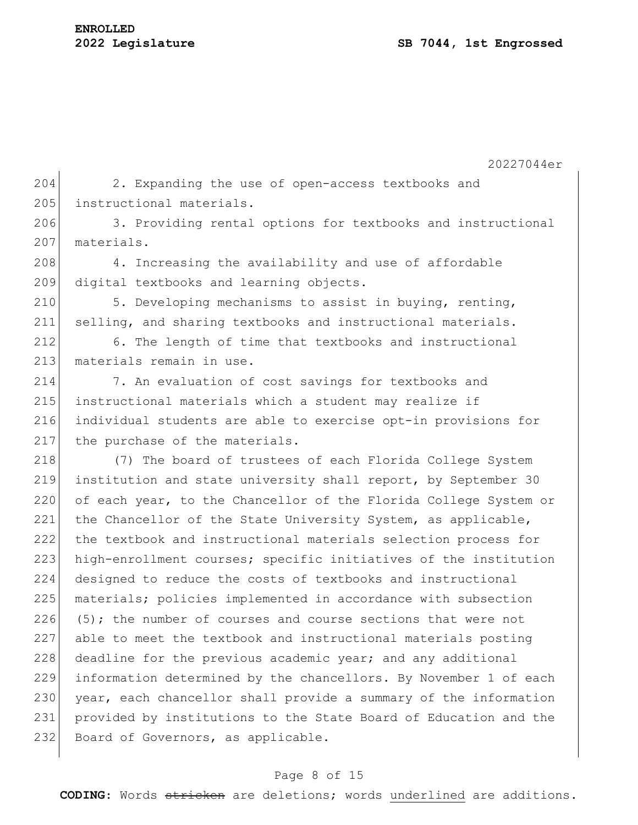204 2. Expanding the use of open-access textbooks and 205 instructional materials.

206 3. Providing rental options for textbooks and instructional 207 materials.

208 4. Increasing the availability and use of affordable 209 digital textbooks and learning objects.

210 5. Developing mechanisms to assist in buying, renting, 211 selling, and sharing textbooks and instructional materials.

212 6. The length of time that textbooks and instructional 213 materials remain in use.

214 7. An evaluation of cost savings for textbooks and 215 instructional materials which a student may realize if 216 individual students are able to exercise opt-in provisions for 217 the purchase of the materials.

218 (7) The board of trustees of each Florida College System 219 institution and state university shall report, by September 30 220 of each year, to the Chancellor of the Florida College System or 221 the Chancellor of the State University System, as applicable, 222 the textbook and instructional materials selection process for 223 high-enrollment courses; specific initiatives of the institution 224 designed to reduce the costs of textbooks and instructional 225 materials; policies implemented in accordance with subsection 226 (5); the number of courses and course sections that were not 227 able to meet the textbook and instructional materials posting  $228$  deadline for the previous academic year; and any additional 229 information determined by the chancellors. By November 1 of each 230 year, each chancellor shall provide a summary of the information 231 provided by institutions to the State Board of Education and the 232 Board of Governors, as applicable.

### Page 8 of 15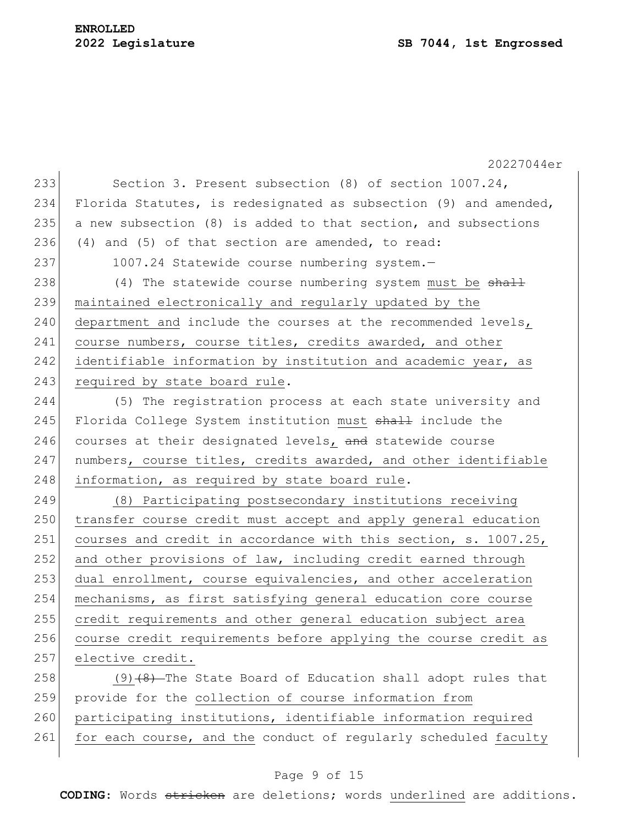# **ENROLLED**

20227044er 233 Section 3. Present subsection (8) of section 1007.24, 234 Florida Statutes, is redesignated as subsection (9) and amended, 235 a new subsection  $(8)$  is added to that section, and subsections 236 (4) and (5) of that section are amended, to read: 237 1007.24 Statewide course numbering system.  $238$  (4) The statewide course numbering system must be  $\frac{11}{2}$ 239 maintained electronically and regularly updated by the 240 department and include the courses at the recommended levels, 241 course numbers, course titles, credits awarded, and other 242 identifiable information by institution and academic year, as 243 required by state board rule. 244 (5) The registration process at each state university and 245 Florida College System institution must shall include the 246 courses at their designated levels, and statewide course 247 | numbers, course titles, credits awarded, and other identifiable 248 information, as required by state board rule. 249 (8) Participating postsecondary institutions receiving 250 transfer course credit must accept and apply general education 251 courses and credit in accordance with this section, s. 1007.25, 252 and other provisions of law, including credit earned through 253 dual enrollment, course equivalencies, and other acceleration 254 mechanisms, as first satisfying general education core course 255 credit requirements and other general education subject area 256 course credit requirements before applying the course credit as 257 elective credit. 258  $(9)$  (9) (8) The State Board of Education shall adopt rules that 259 provide for the collection of course information from 260 participating institutions, identifiable information required

## 261 for each course, and the conduct of regularly scheduled faculty

### Page 9 of 15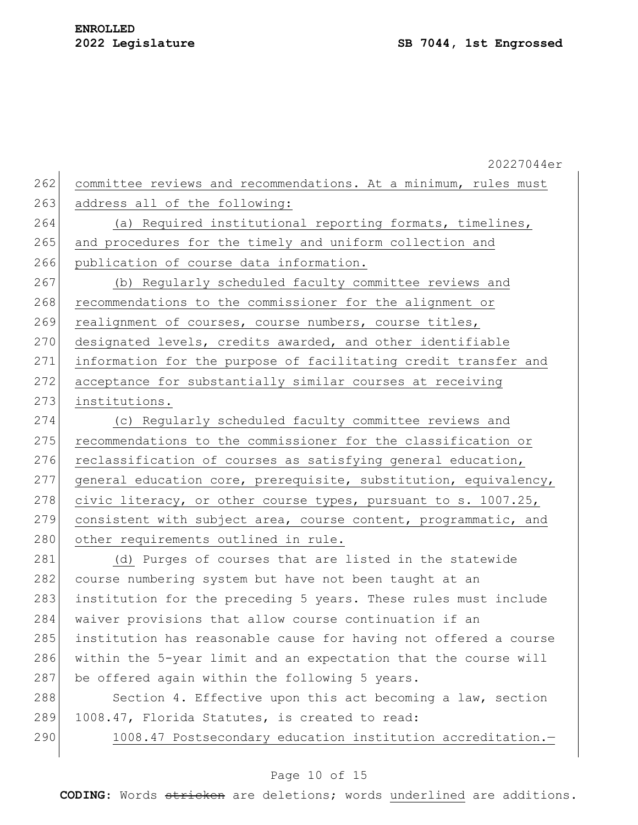20227044er 262 committee reviews and recommendations. At a minimum, rules must 263 address all of the following: 264 (a) Required institutional reporting formats, timelines, 265 and procedures for the timely and uniform collection and 266 publication of course data information. 267 (b) Regularly scheduled faculty committee reviews and 268 recommendations to the commissioner for the alignment or 269 realignment of courses, course numbers, course titles, 270 designated levels, credits awarded, and other identifiable 271 information for the purpose of facilitating credit transfer and 272 acceptance for substantially similar courses at receiving 273 institutions. 274 (c) Regularly scheduled faculty committee reviews and 275 recommendations to the commissioner for the classification or 276 reclassification of courses as satisfying general education, 277 general education core, prerequisite, substitution, equivalency, 278 civic literacy, or other course types, pursuant to s. 1007.25, 279 consistent with subject area, course content, programmatic, and 280 other requirements outlined in rule. 281 (d) Purges of courses that are listed in the statewide 282 course numbering system but have not been taught at an 283 institution for the preceding 5 years. These rules must include 284 waiver provisions that allow course continuation if an 285 institution has reasonable cause for having not offered a course 286 within the 5-year limit and an expectation that the course will 287 be offered again within the following 5 years. 288 Section 4. Effective upon this act becoming a law, section 289 1008.47, Florida Statutes, is created to read:

290 1008.47 Postsecondary education institution accreditation.-

### Page 10 of 15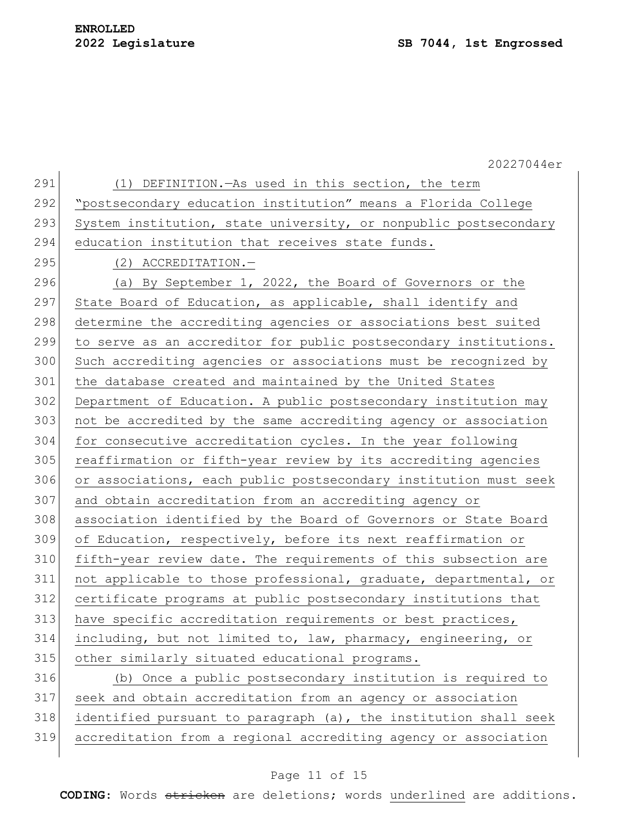|     | 20227044er                                                       |
|-----|------------------------------------------------------------------|
| 291 | (1) DEFINITION. - As used in this section, the term              |
| 292 | "postsecondary education institution" means a Florida College    |
| 293 | System institution, state university, or nonpublic postsecondary |
| 294 | education institution that receives state funds.                 |
| 295 | (2) ACCREDITATION.-                                              |
| 296 | (a) By September 1, 2022, the Board of Governors or the          |
| 297 | State Board of Education, as applicable, shall identify and      |
| 298 | determine the accrediting agencies or associations best suited   |
| 299 | to serve as an accreditor for public postsecondary institutions. |
| 300 | Such accrediting agencies or associations must be recognized by  |
| 301 | the database created and maintained by the United States         |
| 302 | Department of Education. A public postsecondary institution may  |
| 303 | not be accredited by the same accrediting agency or association  |
| 304 | for consecutive accreditation cycles. In the year following      |
| 305 | reaffirmation or fifth-year review by its accrediting agencies   |
| 306 | or associations, each public postsecondary institution must seek |
| 307 | and obtain accreditation from an accrediting agency or           |
| 308 | association identified by the Board of Governors or State Board  |
| 309 | of Education, respectively, before its next reaffirmation or     |
| 310 | fifth-year review date. The requirements of this subsection are  |
| 311 | not applicable to those professional, graduate, departmental, or |
| 312 | certificate programs at public postsecondary institutions that   |
| 313 | have specific accreditation requirements or best practices,      |
| 314 | including, but not limited to, law, pharmacy, engineering, or    |
| 315 | other similarly situated educational programs.                   |
| 316 | (b) Once a public postsecondary institution is required to       |
| 317 | seek and obtain accreditation from an agency or association      |
| 318 | identified pursuant to paragraph (a), the institution shall seek |
| 319 | accreditation from a regional accrediting agency or association  |
|     |                                                                  |

# Page 11 of 15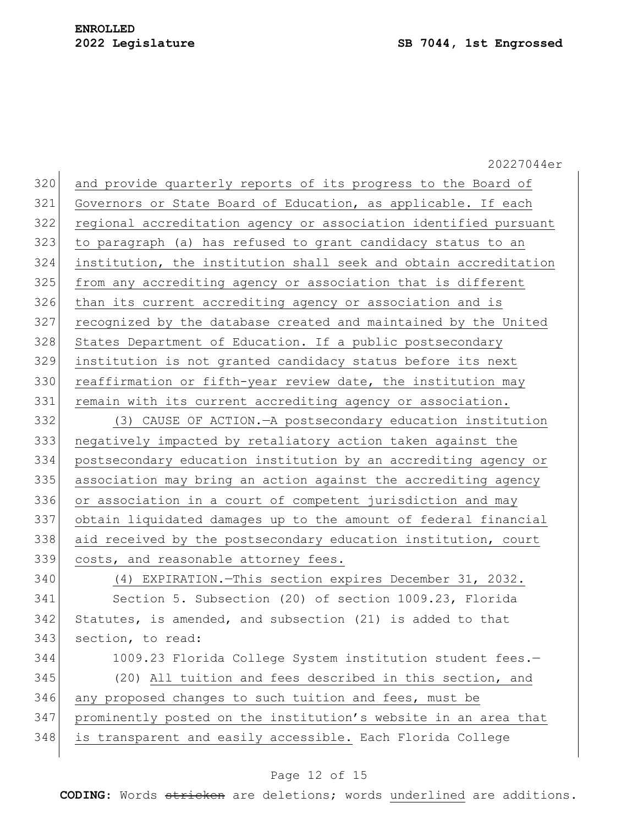|     | 20227044er                                                       |
|-----|------------------------------------------------------------------|
| 320 | and provide quarterly reports of its progress to the Board of    |
| 321 | Governors or State Board of Education, as applicable. If each    |
| 322 | regional accreditation agency or association identified pursuant |
| 323 | to paragraph (a) has refused to grant candidacy status to an     |
| 324 | institution, the institution shall seek and obtain accreditation |
| 325 | from any accrediting agency or association that is different     |
| 326 | than its current accrediting agency or association and is        |
| 327 | recognized by the database created and maintained by the United  |
| 328 | States Department of Education. If a public postsecondary        |
| 329 | institution is not granted candidacy status before its next      |
| 330 | reaffirmation or fifth-year review date, the institution may     |
| 331 | remain with its current accrediting agency or association.       |
| 332 | (3) CAUSE OF ACTION. - A postsecondary education institution     |
| 333 | negatively impacted by retaliatory action taken against the      |
| 334 | postsecondary education institution by an accrediting agency or  |
| 335 | association may bring an action against the accrediting agency   |
| 336 | or association in a court of competent jurisdiction and may      |
| 337 | obtain liquidated damages up to the amount of federal financial  |
| 338 | aid received by the postsecondary education institution, court   |
| 339 | costs, and reasonable attorney fees.                             |
| 340 | (4) EXPIRATION. This section expires December 31, 2032.          |
| 341 | Section 5. Subsection (20) of section 1009.23, Florida           |
| 342 | Statutes, is amended, and subsection (21) is added to that       |
| 343 | section, to read:                                                |
| 344 | 1009.23 Florida College System institution student fees.-        |
| 345 | (20) All tuition and fees described in this section, and         |
| 346 | any proposed changes to such tuition and fees, must be           |
| 347 | prominently posted on the institution's website in an area that  |
| 348 | is transparent and easily accessible. Each Florida College       |
|     |                                                                  |

# Page 12 of 15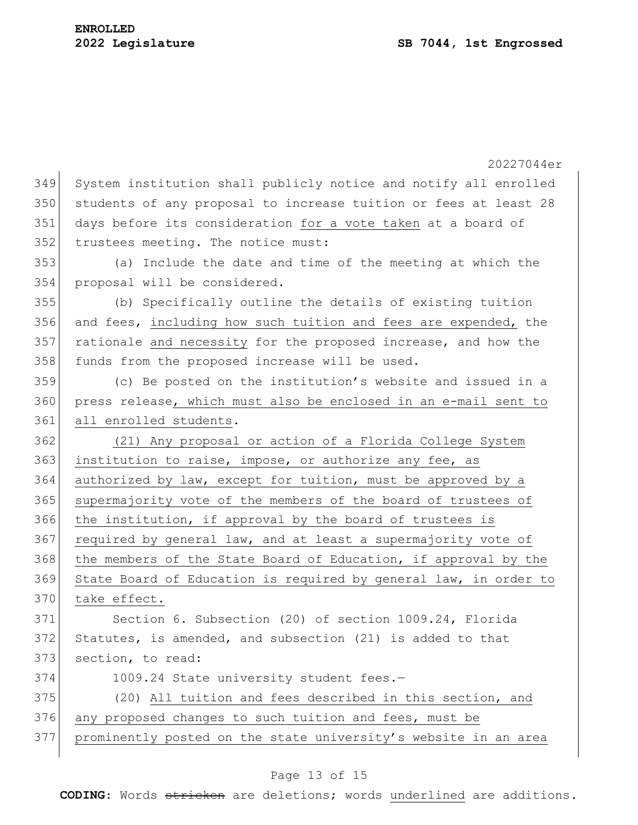20227044er 349 System institution shall publicly notice and notify all enrolled 350 students of any proposal to increase tuition or fees at least 28 351 days before its consideration for a vote taken at a board of 352 trustees meeting. The notice must: 353 (a) Include the date and time of the meeting at which the 354 proposal will be considered. 355 (b) Specifically outline the details of existing tuition 356 and fees, including how such tuition and fees are expended, the 357 rationale and necessity for the proposed increase, and how the 358 funds from the proposed increase will be used. 359 (c) Be posted on the institution's website and issued in a 360 press release, which must also be enclosed in an e-mail sent to 361 all enrolled students. 362 (21) Any proposal or action of a Florida College System  $363$  institution to raise, impose, or authorize any fee, as 364 authorized by law, except for tuition, must be approved by a 365 supermajority vote of the members of the board of trustees of 366 the institution, if approval by the board of trustees is  $367$  required by general law, and at least a supermajority vote of 368 the members of the State Board of Education, if approval by the 369 State Board of Education is required by general law, in order to 370 take effect. 371 Section 6. Subsection (20) of section 1009.24, Florida 372 Statutes, is amended, and subsection (21) is added to that 373 section, to read: 374 1009.24 State university student fees.-375 (20) All tuition and fees described in this section, and 376 any proposed changes to such tuition and fees, must be 377 prominently posted on the state university's website in an area

## Page 13 of 15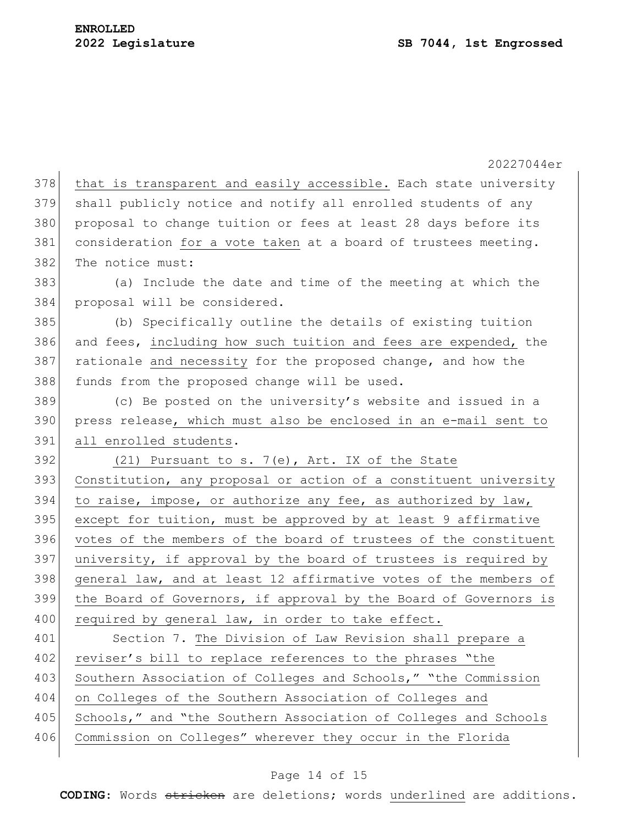|     | 20227044er                                                       |
|-----|------------------------------------------------------------------|
| 378 | that is transparent and easily accessible. Each state university |
| 379 | shall publicly notice and notify all enrolled students of any    |
| 380 | proposal to change tuition or fees at least 28 days before its   |
| 381 | consideration for a vote taken at a board of trustees meeting.   |
| 382 | The notice must:                                                 |
| 383 | (a) Include the date and time of the meeting at which the        |
| 384 | proposal will be considered.                                     |
| 385 | (b) Specifically outline the details of existing tuition         |
| 386 | and fees, including how such tuition and fees are expended, the  |
| 387 | rationale and necessity for the proposed change, and how the     |
| 388 | funds from the proposed change will be used.                     |
| 389 | (c) Be posted on the university's website and issued in a        |
| 390 | press release, which must also be enclosed in an e-mail sent to  |
| 391 | all enrolled students.                                           |
| 392 | (21) Pursuant to s. 7(e), Art. IX of the State                   |
| 393 | Constitution, any proposal or action of a constituent university |
| 394 | to raise, impose, or authorize any fee, as authorized by law,    |
| 395 | except for tuition, must be approved by at least 9 affirmative   |
| 396 | votes of the members of the board of trustees of the constituent |
| 397 | university, if approval by the board of trustees is required by  |
| 398 | general law, and at least 12 affirmative votes of the members of |
| 399 | the Board of Governors, if approval by the Board of Governors is |
| 400 | required by general law, in order to take effect.                |
| 401 | Section 7. The Division of Law Revision shall prepare a          |
| 402 | reviser's bill to replace references to the phrases "the         |
| 403 | Southern Association of Colleges and Schools," "the Commission   |
| 404 | on Colleges of the Southern Association of Colleges and          |
| 405 | Schools," and "the Southern Association of Colleges and Schools  |
| 406 | Commission on Colleges" wherever they occur in the Florida       |
|     |                                                                  |

# Page 14 of 15